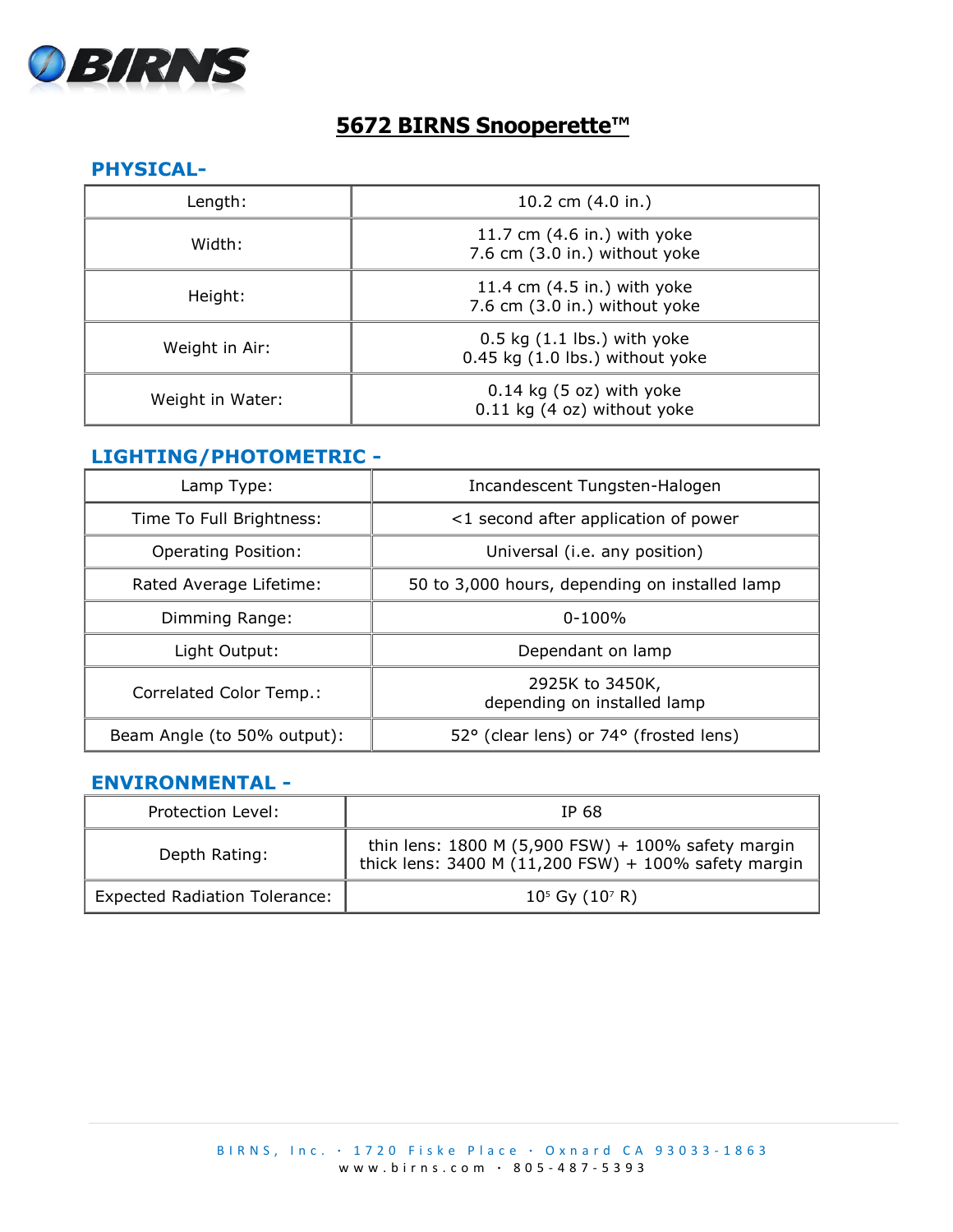

# **5672 BIRNS Snooperette™**

#### **PHYSICAL-**

| Length:          | 10.2 cm (4.0 in.)                                                      |
|------------------|------------------------------------------------------------------------|
| Width:           | 11.7 cm (4.6 in.) with yoke<br>7.6 cm (3.0 in.) without yoke           |
| Height:          | 11.4 cm $(4.5$ in.) with yoke<br>7.6 cm (3.0 in.) without yoke         |
| Weight in Air:   | $0.5$ kg $(1.1$ lbs.) with yoke<br>$0.45$ kg $(1.0$ lbs.) without yoke |
| Weight in Water: | $0.14$ kg (5 oz) with yoke<br>0.11 kg (4 oz) without yoke              |

## **LIGHTING/PHOTOMETRIC -**

| Lamp Type:                  | Incandescent Tungsten-Halogen                  |
|-----------------------------|------------------------------------------------|
| Time To Full Brightness:    | <1 second after application of power           |
| <b>Operating Position:</b>  | Universal (i.e. any position)                  |
| Rated Average Lifetime:     | 50 to 3,000 hours, depending on installed lamp |
| Dimming Range:              | $0 - 100\%$                                    |
| Light Output:               | Dependant on lamp                              |
| Correlated Color Temp.:     | 2925K to 3450K,<br>depending on installed lamp |
| Beam Angle (to 50% output): | 52° (clear lens) or 74° (frosted lens)         |

## **ENVIRONMENTAL -**

| Protection Level:                    | IP 68                                                                                                         |
|--------------------------------------|---------------------------------------------------------------------------------------------------------------|
| Depth Rating:                        | thin lens: $1800 M (5,900 FSW) + 100\%$ safety margin<br>thick lens: 3400 M (11,200 FSW) + 100% safety margin |
| <b>Expected Radiation Tolerance:</b> | $10^5$ Gy $(10^7 R)$                                                                                          |